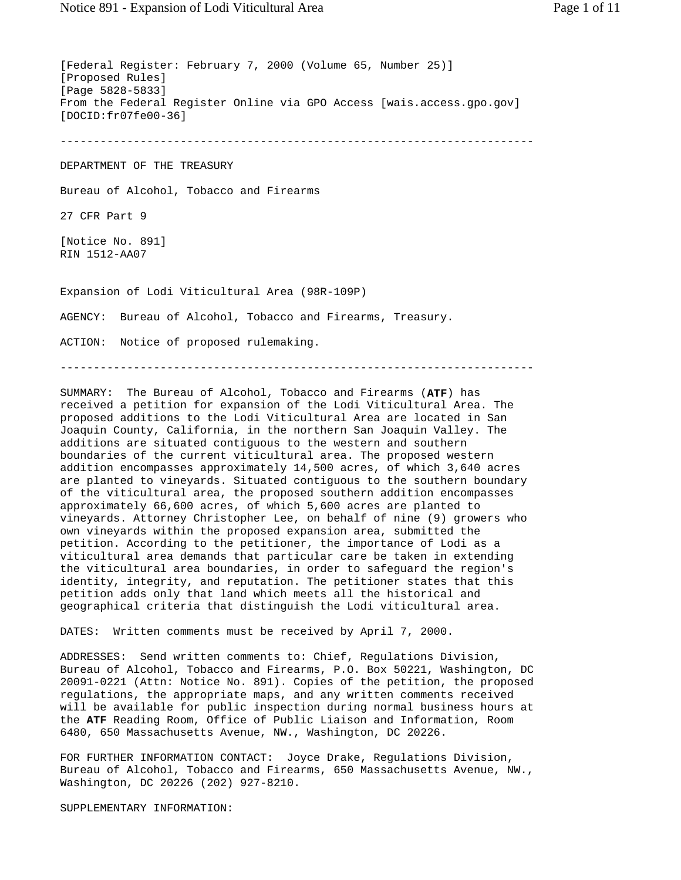[Federal Register: February 7, 2000 (Volume 65, Number 25)] [Proposed Rules] [Page 5828-5833] From the Federal Register Online via GPO Access [wais.access.gpo.gov] [DOCID:fr07fe00-36] ----------------------------------------------------------------------- DEPARTMENT OF THE TREASURY Bureau of Alcohol, Tobacco and Firearms 27 CFR Part 9 [Notice No. 891] RIN 1512-AA07 Expansion of Lodi Viticultural Area (98R-109P) AGENCY: Bureau of Alcohol, Tobacco and Firearms, Treasury. ACTION: Notice of proposed rulemaking. -----------------------------------------------------------------------

SUMMARY: The Bureau of Alcohol, Tobacco and Firearms (**ATF**) has received a petition for expansion of the Lodi Viticultural Area. The proposed additions to the Lodi Viticultural Area are located in San Joaquin County, California, in the northern San Joaquin Valley. The additions are situated contiguous to the western and southern boundaries of the current viticultural area. The proposed western addition encompasses approximately 14,500 acres, of which 3,640 acres are planted to vineyards. Situated contiguous to the southern boundary of the viticultural area, the proposed southern addition encompasses approximately 66,600 acres, of which 5,600 acres are planted to vineyards. Attorney Christopher Lee, on behalf of nine (9) growers who own vineyards within the proposed expansion area, submitted the petition. According to the petitioner, the importance of Lodi as a viticultural area demands that particular care be taken in extending the viticultural area boundaries, in order to safeguard the region's identity, integrity, and reputation. The petitioner states that this petition adds only that land which meets all the historical and geographical criteria that distinguish the Lodi viticultural area.

DATES: Written comments must be received by April 7, 2000.

ADDRESSES: Send written comments to: Chief, Regulations Division, Bureau of Alcohol, Tobacco and Firearms, P.O. Box 50221, Washington, DC 20091-0221 (Attn: Notice No. 891). Copies of the petition, the proposed regulations, the appropriate maps, and any written comments received will be available for public inspection during normal business hours at the **ATF** Reading Room, Office of Public Liaison and Information, Room 6480, 650 Massachusetts Avenue, NW., Washington, DC 20226.

FOR FURTHER INFORMATION CONTACT: Joyce Drake, Regulations Division, Bureau of Alcohol, Tobacco and Firearms, 650 Massachusetts Avenue, NW., Washington, DC 20226 (202) 927-8210.

SUPPLEMENTARY INFORMATION: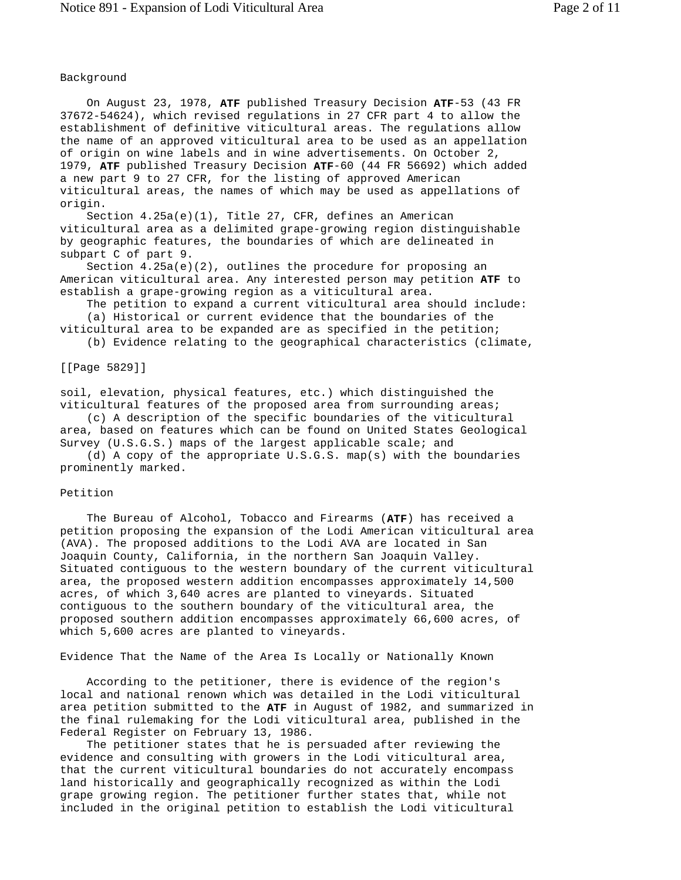## Background

 On August 23, 1978, **ATF** published Treasury Decision **ATF**-53 (43 FR 37672-54624), which revised regulations in 27 CFR part 4 to allow the establishment of definitive viticultural areas. The regulations allow the name of an approved viticultural area to be used as an appellation of origin on wine labels and in wine advertisements. On October 2, 1979, **ATF** published Treasury Decision **ATF**-60 (44 FR 56692) which added a new part 9 to 27 CFR, for the listing of approved American viticultural areas, the names of which may be used as appellations of origin.

 Section 4.25a(e)(1), Title 27, CFR, defines an American viticultural area as a delimited grape-growing region distinguishable by geographic features, the boundaries of which are delineated in subpart C of part 9.

Section  $4.25a(e)(2)$ , outlines the procedure for proposing an American viticultural area. Any interested person may petition **ATF** to establish a grape-growing region as a viticultural area.

 The petition to expand a current viticultural area should include: (a) Historical or current evidence that the boundaries of the viticultural area to be expanded are as specified in the petition;

(b) Evidence relating to the geographical characteristics (climate,

[[Page 5829]]

soil, elevation, physical features, etc.) which distinguished the viticultural features of the proposed area from surrounding areas;

 (c) A description of the specific boundaries of the viticultural area, based on features which can be found on United States Geological Survey (U.S.G.S.) maps of the largest applicable scale; and

 (d) A copy of the appropriate U.S.G.S. map(s) with the boundaries prominently marked.

## Petition

 The Bureau of Alcohol, Tobacco and Firearms (**ATF**) has received a petition proposing the expansion of the Lodi American viticultural area (AVA). The proposed additions to the Lodi AVA are located in San Joaquin County, California, in the northern San Joaquin Valley. Situated contiguous to the western boundary of the current viticultural area, the proposed western addition encompasses approximately 14,500 acres, of which 3,640 acres are planted to vineyards. Situated contiguous to the southern boundary of the viticultural area, the proposed southern addition encompasses approximately 66,600 acres, of which 5,600 acres are planted to vineyards.

Evidence That the Name of the Area Is Locally or Nationally Known

 According to the petitioner, there is evidence of the region's local and national renown which was detailed in the Lodi viticultural area petition submitted to the **ATF** in August of 1982, and summarized in the final rulemaking for the Lodi viticultural area, published in the Federal Register on February 13, 1986.

 The petitioner states that he is persuaded after reviewing the evidence and consulting with growers in the Lodi viticultural area, that the current viticultural boundaries do not accurately encompass land historically and geographically recognized as within the Lodi grape growing region. The petitioner further states that, while not included in the original petition to establish the Lodi viticultural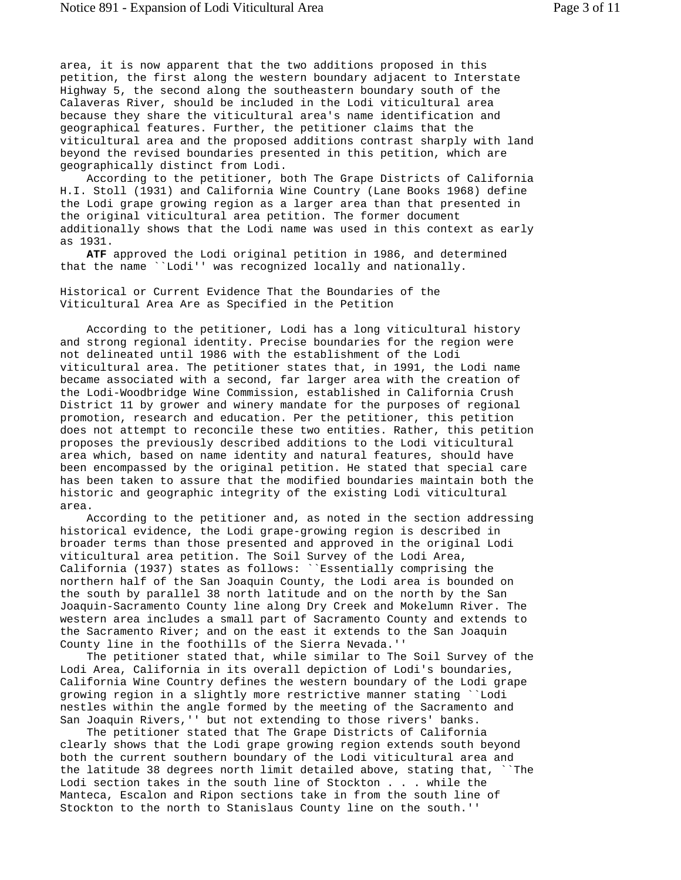area, it is now apparent that the two additions proposed in this petition, the first along the western boundary adjacent to Interstate Highway 5, the second along the southeastern boundary south of the Calaveras River, should be included in the Lodi viticultural area because they share the viticultural area's name identification and geographical features. Further, the petitioner claims that the viticultural area and the proposed additions contrast sharply with land beyond the revised boundaries presented in this petition, which are geographically distinct from Lodi.

 According to the petitioner, both The Grape Districts of California H.I. Stoll (1931) and California Wine Country (Lane Books 1968) define the Lodi grape growing region as a larger area than that presented in the original viticultural area petition. The former document additionally shows that the Lodi name was used in this context as early as 1931.

 **ATF** approved the Lodi original petition in 1986, and determined that the name ``Lodi'' was recognized locally and nationally.

Historical or Current Evidence That the Boundaries of the Viticultural Area Are as Specified in the Petition

 According to the petitioner, Lodi has a long viticultural history and strong regional identity. Precise boundaries for the region were not delineated until 1986 with the establishment of the Lodi viticultural area. The petitioner states that, in 1991, the Lodi name became associated with a second, far larger area with the creation of the Lodi-Woodbridge Wine Commission, established in California Crush District 11 by grower and winery mandate for the purposes of regional promotion, research and education. Per the petitioner, this petition does not attempt to reconcile these two entities. Rather, this petition proposes the previously described additions to the Lodi viticultural area which, based on name identity and natural features, should have been encompassed by the original petition. He stated that special care has been taken to assure that the modified boundaries maintain both the historic and geographic integrity of the existing Lodi viticultural area.

 According to the petitioner and, as noted in the section addressing historical evidence, the Lodi grape-growing region is described in broader terms than those presented and approved in the original Lodi viticultural area petition. The Soil Survey of the Lodi Area, California (1937) states as follows: ``Essentially comprising the northern half of the San Joaquin County, the Lodi area is bounded on the south by parallel 38 north latitude and on the north by the San Joaquin-Sacramento County line along Dry Creek and Mokelumn River. The western area includes a small part of Sacramento County and extends to the Sacramento River; and on the east it extends to the San Joaquin County line in the foothills of the Sierra Nevada.''

 The petitioner stated that, while similar to The Soil Survey of the Lodi Area, California in its overall depiction of Lodi's boundaries, California Wine Country defines the western boundary of the Lodi grape growing region in a slightly more restrictive manner stating ``Lodi nestles within the angle formed by the meeting of the Sacramento and San Joaquin Rivers,'' but not extending to those rivers' banks.

 The petitioner stated that The Grape Districts of California clearly shows that the Lodi grape growing region extends south beyond both the current southern boundary of the Lodi viticultural area and the latitude 38 degrees north limit detailed above, stating that, ``The Lodi section takes in the south line of Stockton . . . while the Manteca, Escalon and Ripon sections take in from the south line of Stockton to the north to Stanislaus County line on the south.''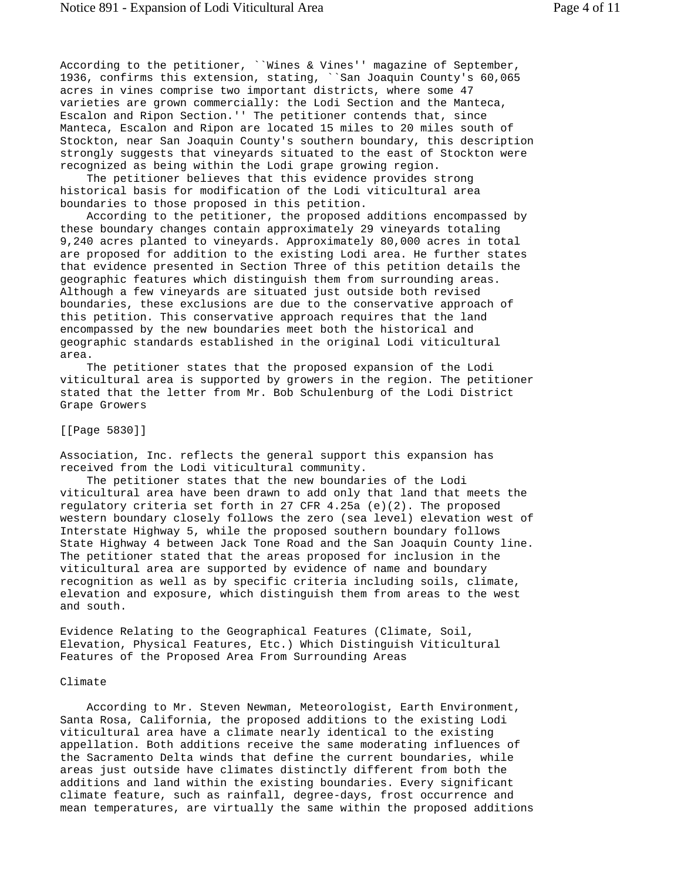According to the petitioner, ``Wines & Vines'' magazine of September, 1936, confirms this extension, stating, ``San Joaquin County's 60,065 acres in vines comprise two important districts, where some 47 varieties are grown commercially: the Lodi Section and the Manteca, Escalon and Ripon Section.'' The petitioner contends that, since Manteca, Escalon and Ripon are located 15 miles to 20 miles south of Stockton, near San Joaquin County's southern boundary, this description strongly suggests that vineyards situated to the east of Stockton were recognized as being within the Lodi grape growing region.

 The petitioner believes that this evidence provides strong historical basis for modification of the Lodi viticultural area boundaries to those proposed in this petition.

 According to the petitioner, the proposed additions encompassed by these boundary changes contain approximately 29 vineyards totaling 9,240 acres planted to vineyards. Approximately 80,000 acres in total are proposed for addition to the existing Lodi area. He further states that evidence presented in Section Three of this petition details the geographic features which distinguish them from surrounding areas. Although a few vineyards are situated just outside both revised boundaries, these exclusions are due to the conservative approach of this petition. This conservative approach requires that the land encompassed by the new boundaries meet both the historical and geographic standards established in the original Lodi viticultural area.

 The petitioner states that the proposed expansion of the Lodi viticultural area is supported by growers in the region. The petitioner stated that the letter from Mr. Bob Schulenburg of the Lodi District Grape Growers

[[Page 5830]]

Association, Inc. reflects the general support this expansion has received from the Lodi viticultural community.

 The petitioner states that the new boundaries of the Lodi viticultural area have been drawn to add only that land that meets the regulatory criteria set forth in 27 CFR  $4.25a$  (e)(2). The proposed western boundary closely follows the zero (sea level) elevation west of Interstate Highway 5, while the proposed southern boundary follows State Highway 4 between Jack Tone Road and the San Joaquin County line. The petitioner stated that the areas proposed for inclusion in the viticultural area are supported by evidence of name and boundary recognition as well as by specific criteria including soils, climate, elevation and exposure, which distinguish them from areas to the west and south.

Evidence Relating to the Geographical Features (Climate, Soil, Elevation, Physical Features, Etc.) Which Distinguish Viticultural Features of the Proposed Area From Surrounding Areas

#### Climate

 According to Mr. Steven Newman, Meteorologist, Earth Environment, Santa Rosa, California, the proposed additions to the existing Lodi viticultural area have a climate nearly identical to the existing appellation. Both additions receive the same moderating influences of the Sacramento Delta winds that define the current boundaries, while areas just outside have climates distinctly different from both the additions and land within the existing boundaries. Every significant climate feature, such as rainfall, degree-days, frost occurrence and mean temperatures, are virtually the same within the proposed additions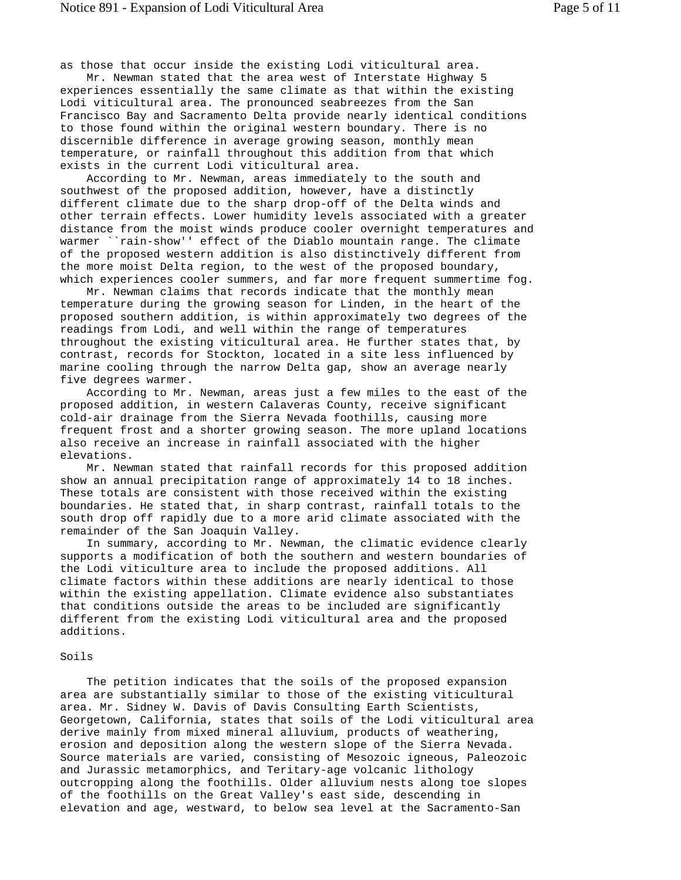as those that occur inside the existing Lodi viticultural area.

 Mr. Newman stated that the area west of Interstate Highway 5 experiences essentially the same climate as that within the existing Lodi viticultural area. The pronounced seabreezes from the San Francisco Bay and Sacramento Delta provide nearly identical conditions to those found within the original western boundary. There is no discernible difference in average growing season, monthly mean temperature, or rainfall throughout this addition from that which exists in the current Lodi viticultural area.

 According to Mr. Newman, areas immediately to the south and southwest of the proposed addition, however, have a distinctly different climate due to the sharp drop-off of the Delta winds and other terrain effects. Lower humidity levels associated with a greater distance from the moist winds produce cooler overnight temperatures and warmer ``rain-show'' effect of the Diablo mountain range. The climate of the proposed western addition is also distinctively different from the more moist Delta region, to the west of the proposed boundary, which experiences cooler summers, and far more frequent summertime fog.

 Mr. Newman claims that records indicate that the monthly mean temperature during the growing season for Linden, in the heart of the proposed southern addition, is within approximately two degrees of the readings from Lodi, and well within the range of temperatures throughout the existing viticultural area. He further states that, by contrast, records for Stockton, located in a site less influenced by marine cooling through the narrow Delta gap, show an average nearly five degrees warmer.

 According to Mr. Newman, areas just a few miles to the east of the proposed addition, in western Calaveras County, receive significant cold-air drainage from the Sierra Nevada foothills, causing more frequent frost and a shorter growing season. The more upland locations also receive an increase in rainfall associated with the higher elevations.

 Mr. Newman stated that rainfall records for this proposed addition show an annual precipitation range of approximately 14 to 18 inches. These totals are consistent with those received within the existing boundaries. He stated that, in sharp contrast, rainfall totals to the south drop off rapidly due to a more arid climate associated with the remainder of the San Joaquin Valley.

 In summary, according to Mr. Newman, the climatic evidence clearly supports a modification of both the southern and western boundaries of the Lodi viticulture area to include the proposed additions. All climate factors within these additions are nearly identical to those within the existing appellation. Climate evidence also substantiates that conditions outside the areas to be included are significantly different from the existing Lodi viticultural area and the proposed additions.

#### Soils

 The petition indicates that the soils of the proposed expansion area are substantially similar to those of the existing viticultural area. Mr. Sidney W. Davis of Davis Consulting Earth Scientists, Georgetown, California, states that soils of the Lodi viticultural area derive mainly from mixed mineral alluvium, products of weathering, erosion and deposition along the western slope of the Sierra Nevada. Source materials are varied, consisting of Mesozoic igneous, Paleozoic and Jurassic metamorphics, and Teritary-age volcanic lithology outcropping along the foothills. Older alluvium nests along toe slopes of the foothills on the Great Valley's east side, descending in elevation and age, westward, to below sea level at the Sacramento-San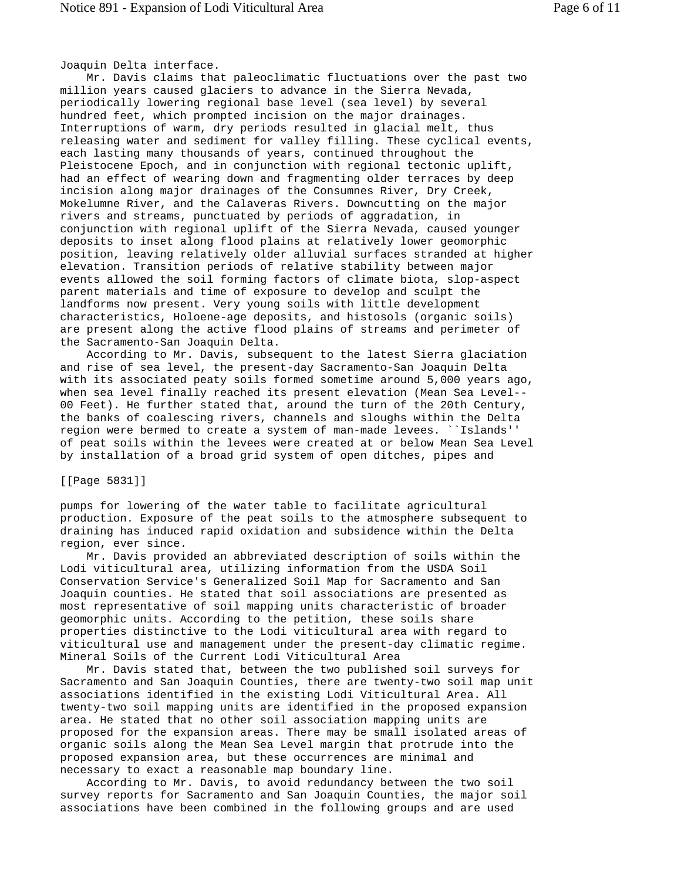Joaquin Delta interface.

 Mr. Davis claims that paleoclimatic fluctuations over the past two million years caused glaciers to advance in the Sierra Nevada, periodically lowering regional base level (sea level) by several hundred feet, which prompted incision on the major drainages. Interruptions of warm, dry periods resulted in glacial melt, thus releasing water and sediment for valley filling. These cyclical events, each lasting many thousands of years, continued throughout the Pleistocene Epoch, and in conjunction with regional tectonic uplift, had an effect of wearing down and fragmenting older terraces by deep incision along major drainages of the Consumnes River, Dry Creek, Mokelumne River, and the Calaveras Rivers. Downcutting on the major rivers and streams, punctuated by periods of aggradation, in conjunction with regional uplift of the Sierra Nevada, caused younger deposits to inset along flood plains at relatively lower geomorphic position, leaving relatively older alluvial surfaces stranded at higher elevation. Transition periods of relative stability between major events allowed the soil forming factors of climate biota, slop-aspect parent materials and time of exposure to develop and sculpt the landforms now present. Very young soils with little development characteristics, Holoene-age deposits, and histosols (organic soils) are present along the active flood plains of streams and perimeter of the Sacramento-San Joaquin Delta.

 According to Mr. Davis, subsequent to the latest Sierra glaciation and rise of sea level, the present-day Sacramento-San Joaquin Delta with its associated peaty soils formed sometime around 5,000 years ago, when sea level finally reached its present elevation (Mean Sea Level-- 00 Feet). He further stated that, around the turn of the 20th Century, the banks of coalescing rivers, channels and sloughs within the Delta region were bermed to create a system of man-made levees. ``Islands'' of peat soils within the levees were created at or below Mean Sea Level by installation of a broad grid system of open ditches, pipes and

[[Page 5831]]

pumps for lowering of the water table to facilitate agricultural production. Exposure of the peat soils to the atmosphere subsequent to draining has induced rapid oxidation and subsidence within the Delta region, ever since.

 Mr. Davis provided an abbreviated description of soils within the Lodi viticultural area, utilizing information from the USDA Soil Conservation Service's Generalized Soil Map for Sacramento and San Joaquin counties. He stated that soil associations are presented as most representative of soil mapping units characteristic of broader geomorphic units. According to the petition, these soils share properties distinctive to the Lodi viticultural area with regard to viticultural use and management under the present-day climatic regime. Mineral Soils of the Current Lodi Viticultural Area

 Mr. Davis stated that, between the two published soil surveys for Sacramento and San Joaquin Counties, there are twenty-two soil map unit associations identified in the existing Lodi Viticultural Area. All twenty-two soil mapping units are identified in the proposed expansion area. He stated that no other soil association mapping units are proposed for the expansion areas. There may be small isolated areas of organic soils along the Mean Sea Level margin that protrude into the proposed expansion area, but these occurrences are minimal and necessary to exact a reasonable map boundary line.

 According to Mr. Davis, to avoid redundancy between the two soil survey reports for Sacramento and San Joaquin Counties, the major soil associations have been combined in the following groups and are used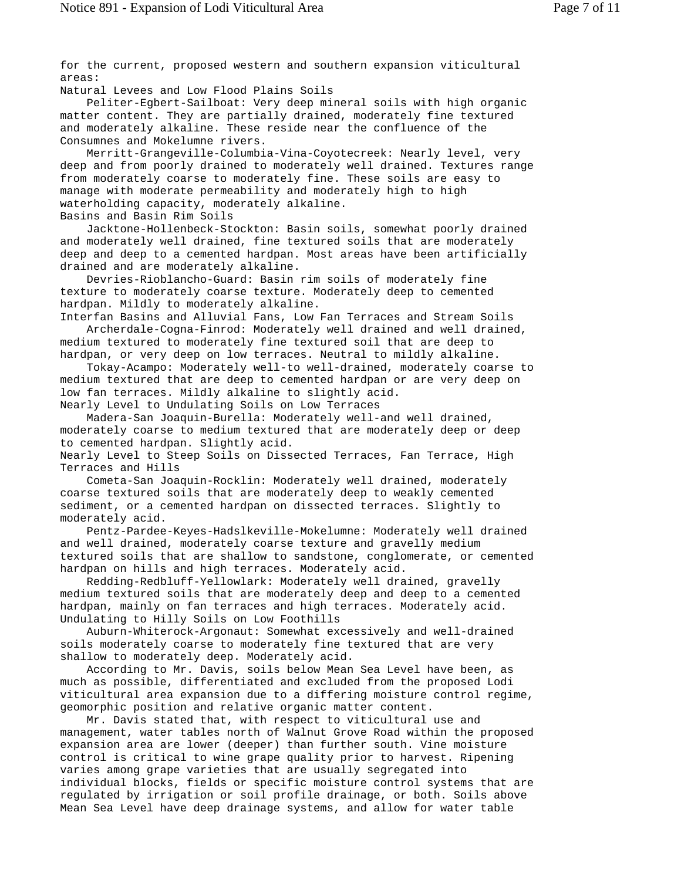for the current, proposed western and southern expansion viticultural areas:

Natural Levees and Low Flood Plains Soils

 Peliter-Egbert-Sailboat: Very deep mineral soils with high organic matter content. They are partially drained, moderately fine textured and moderately alkaline. These reside near the confluence of the Consumnes and Mokelumne rivers.

 Merritt-Grangeville-Columbia-Vina-Coyotecreek: Nearly level, very deep and from poorly drained to moderately well drained. Textures range from moderately coarse to moderately fine. These soils are easy to manage with moderate permeability and moderately high to high waterholding capacity, moderately alkaline.

Basins and Basin Rim Soils

 Jacktone-Hollenbeck-Stockton: Basin soils, somewhat poorly drained and moderately well drained, fine textured soils that are moderately deep and deep to a cemented hardpan. Most areas have been artificially drained and are moderately alkaline.

 Devries-Rioblancho-Guard: Basin rim soils of moderately fine texture to moderately coarse texture. Moderately deep to cemented hardpan. Mildly to moderately alkaline.

Interfan Basins and Alluvial Fans, Low Fan Terraces and Stream Soils Archerdale-Cogna-Finrod: Moderately well drained and well drained, medium textured to moderately fine textured soil that are deep to hardpan, or very deep on low terraces. Neutral to mildly alkaline.

 Tokay-Acampo: Moderately well-to well-drained, moderately coarse to medium textured that are deep to cemented hardpan or are very deep on low fan terraces. Mildly alkaline to slightly acid.

Nearly Level to Undulating Soils on Low Terraces

 Madera-San Joaquin-Burella: Moderately well-and well drained, moderately coarse to medium textured that are moderately deep or deep to cemented hardpan. Slightly acid.

Nearly Level to Steep Soils on Dissected Terraces, Fan Terrace, High Terraces and Hills

 Cometa-San Joaquin-Rocklin: Moderately well drained, moderately coarse textured soils that are moderately deep to weakly cemented sediment, or a cemented hardpan on dissected terraces. Slightly to moderately acid.

 Pentz-Pardee-Keyes-Hadslkeville-Mokelumne: Moderately well drained and well drained, moderately coarse texture and gravelly medium textured soils that are shallow to sandstone, conglomerate, or cemented hardpan on hills and high terraces. Moderately acid.

 Redding-Redbluff-Yellowlark: Moderately well drained, gravelly medium textured soils that are moderately deep and deep to a cemented hardpan, mainly on fan terraces and high terraces. Moderately acid. Undulating to Hilly Soils on Low Foothills

 Auburn-Whiterock-Argonaut: Somewhat excessively and well-drained soils moderately coarse to moderately fine textured that are very shallow to moderately deep. Moderately acid.

 According to Mr. Davis, soils below Mean Sea Level have been, as much as possible, differentiated and excluded from the proposed Lodi viticultural area expansion due to a differing moisture control regime, geomorphic position and relative organic matter content.

 Mr. Davis stated that, with respect to viticultural use and management, water tables north of Walnut Grove Road within the proposed expansion area are lower (deeper) than further south. Vine moisture control is critical to wine grape quality prior to harvest. Ripening varies among grape varieties that are usually segregated into individual blocks, fields or specific moisture control systems that are regulated by irrigation or soil profile drainage, or both. Soils above Mean Sea Level have deep drainage systems, and allow for water table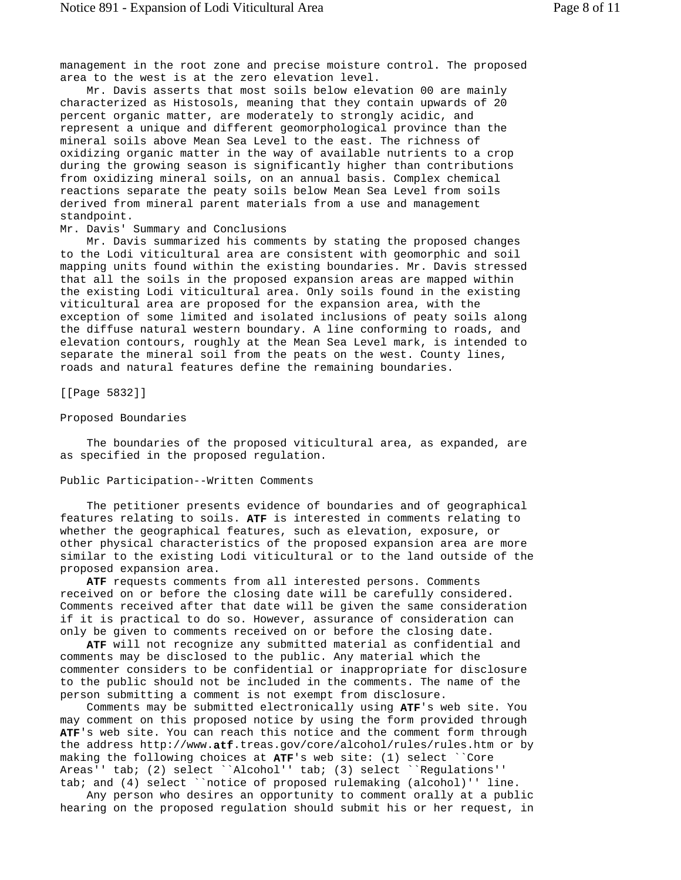management in the root zone and precise moisture control. The proposed area to the west is at the zero elevation level.

 Mr. Davis asserts that most soils below elevation 00 are mainly characterized as Histosols, meaning that they contain upwards of 20 percent organic matter, are moderately to strongly acidic, and represent a unique and different geomorphological province than the mineral soils above Mean Sea Level to the east. The richness of oxidizing organic matter in the way of available nutrients to a crop during the growing season is significantly higher than contributions from oxidizing mineral soils, on an annual basis. Complex chemical reactions separate the peaty soils below Mean Sea Level from soils derived from mineral parent materials from a use and management standpoint.

#### Mr. Davis' Summary and Conclusions

 Mr. Davis summarized his comments by stating the proposed changes to the Lodi viticultural area are consistent with geomorphic and soil mapping units found within the existing boundaries. Mr. Davis stressed that all the soils in the proposed expansion areas are mapped within the existing Lodi viticultural area. Only soils found in the existing viticultural area are proposed for the expansion area, with the exception of some limited and isolated inclusions of peaty soils along the diffuse natural western boundary. A line conforming to roads, and elevation contours, roughly at the Mean Sea Level mark, is intended to separate the mineral soil from the peats on the west. County lines, roads and natural features define the remaining boundaries.

[[Page 5832]]

#### Proposed Boundaries

 The boundaries of the proposed viticultural area, as expanded, are as specified in the proposed regulation.

### Public Participation--Written Comments

 The petitioner presents evidence of boundaries and of geographical features relating to soils. **ATF** is interested in comments relating to whether the geographical features, such as elevation, exposure, or other physical characteristics of the proposed expansion area are more similar to the existing Lodi viticultural or to the land outside of the proposed expansion area.

 **ATF** requests comments from all interested persons. Comments received on or before the closing date will be carefully considered. Comments received after that date will be given the same consideration if it is practical to do so. However, assurance of consideration can only be given to comments received on or before the closing date.

 **ATF** will not recognize any submitted material as confidential and comments may be disclosed to the public. Any material which the commenter considers to be confidential or inappropriate for disclosure to the public should not be included in the comments. The name of the person submitting a comment is not exempt from disclosure.

 Comments may be submitted electronically using **ATF**'s web site. You may comment on this proposed notice by using the form provided through **ATF**'s web site. You can reach this notice and the comment form through the address http://www.**atf**.treas.gov/core/alcohol/rules/rules.htm or by making the following choices at **ATF**'s web site: (1) select ``Core Areas'' tab; (2) select ``Alcohol'' tab; (3) select ``Regulations'' tab; and (4) select ``notice of proposed rulemaking (alcohol)'' line.

 Any person who desires an opportunity to comment orally at a public hearing on the proposed regulation should submit his or her request, in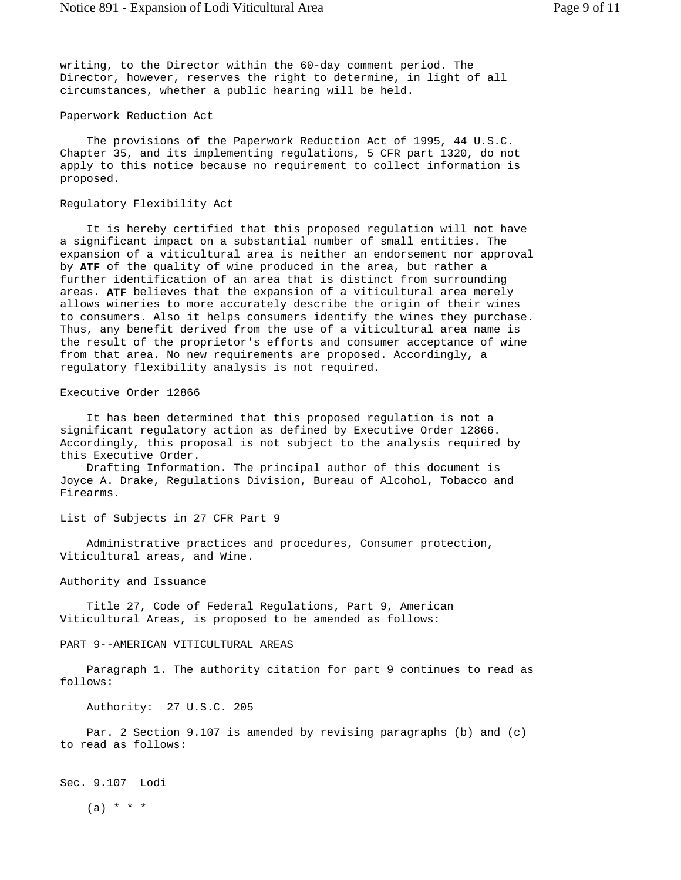writing, to the Director within the 60-day comment period. The Director, however, reserves the right to determine, in light of all circumstances, whether a public hearing will be held.

#### Paperwork Reduction Act

 The provisions of the Paperwork Reduction Act of 1995, 44 U.S.C. Chapter 35, and its implementing regulations, 5 CFR part 1320, do not apply to this notice because no requirement to collect information is proposed.

#### Regulatory Flexibility Act

 It is hereby certified that this proposed regulation will not have a significant impact on a substantial number of small entities. The expansion of a viticultural area is neither an endorsement nor approval by **ATF** of the quality of wine produced in the area, but rather a further identification of an area that is distinct from surrounding areas. **ATF** believes that the expansion of a viticultural area merely allows wineries to more accurately describe the origin of their wines to consumers. Also it helps consumers identify the wines they purchase. Thus, any benefit derived from the use of a viticultural area name is the result of the proprietor's efforts and consumer acceptance of wine from that area. No new requirements are proposed. Accordingly, a regulatory flexibility analysis is not required.

### Executive Order 12866

 It has been determined that this proposed regulation is not a significant regulatory action as defined by Executive Order 12866. Accordingly, this proposal is not subject to the analysis required by this Executive Order.

 Drafting Information. The principal author of this document is Joyce A. Drake, Regulations Division, Bureau of Alcohol, Tobacco and Firearms.

List of Subjects in 27 CFR Part 9

 Administrative practices and procedures, Consumer protection, Viticultural areas, and Wine.

## Authority and Issuance

 Title 27, Code of Federal Regulations, Part 9, American Viticultural Areas, is proposed to be amended as follows:

# PART 9--AMERICAN VITICULTURAL AREAS

 Paragraph 1. The authority citation for part 9 continues to read as follows:

Authority: 27 U.S.C. 205

 Par. 2 Section 9.107 is amended by revising paragraphs (b) and (c) to read as follows:

Sec. 9.107 Lodi

 $(a) * * * *$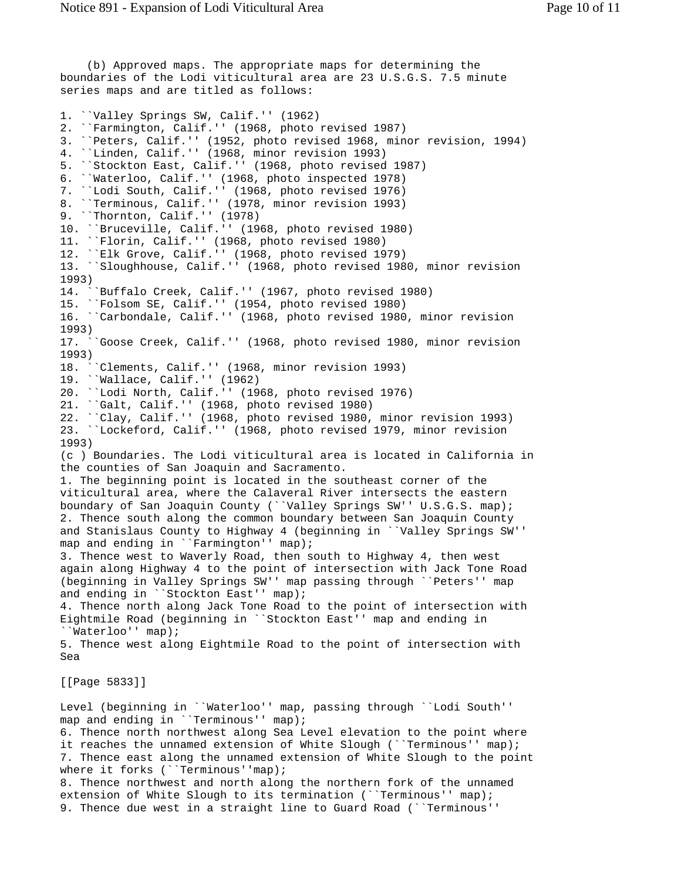(b) Approved maps. The appropriate maps for determining the boundaries of the Lodi viticultural area are 23 U.S.G.S. 7.5 minute series maps and are titled as follows: 1. ``Valley Springs SW, Calif.'' (1962) 2. ``Farmington, Calif.'' (1968, photo revised 1987) 3. ``Peters, Calif.'' (1952, photo revised 1968, minor revision, 1994) 4. ``Linden, Calif.'' (1968, minor revision 1993) 5. ``Stockton East, Calif.'' (1968, photo revised 1987) 6. ``Waterloo, Calif.'' (1968, photo inspected 1978) 7. ``Lodi South, Calif.'' (1968, photo revised 1976) 8. ``Terminous, Calif.'' (1978, minor revision 1993) 9. ``Thornton, Calif.'' (1978) 10. ``Bruceville, Calif.'' (1968, photo revised 1980) 11. ``Florin, Calif.'' (1968, photo revised 1980) 12. ``Elk Grove, Calif.'' (1968, photo revised 1979) 13. ``Sloughhouse, Calif.'' (1968, photo revised 1980, minor revision  $1993)$ <br> $14.$ ``Buffalo Creek, Calif.'' (1967, photo revised 1980) 15. ``Folsom SE, Calif.'' (1954, photo revised 1980) 16. ``Carbondale, Calif.'' (1968, photo revised 1980, minor revision 1993) 17. ``Goose Creek, Calif.'' (1968, photo revised 1980, minor revision 1993) 18. ``Clements, Calif.'' (1968, minor revision 1993) 19. ``Wallace, Calif.'' (1962) 20. ``Lodi North, Calif.'' (1968, photo revised 1976) 21. ``Galt, Calif.'' (1968, photo revised 1980) 22. ``Clay, Calif.'' (1968, photo revised 1980, minor revision 1993) 23. ``Lockeford, Calif.'' (1968, photo revised 1979, minor revision 1993) (c ) Boundaries. The Lodi viticultural area is located in California in the counties of San Joaquin and Sacramento. 1. The beginning point is located in the southeast corner of the viticultural area, where the Calaveral River intersects the eastern boundary of San Joaquin County (``Valley Springs SW'' U.S.G.S. map); 2. Thence south along the common boundary between San Joaquin County and Stanislaus County to Highway 4 (beginning in ``Valley Springs SW'' map and ending in ``Farmington'' map); 3. Thence west to Waverly Road, then south to Highway 4, then west again along Highway 4 to the point of intersection with Jack Tone Road (beginning in Valley Springs SW'' map passing through ``Peters'' map and ending in ``Stockton East'' map); 4. Thence north along Jack Tone Road to the point of intersection with Eightmile Road (beginning in ``Stockton East'' map and ending in ``Waterloo'' map); 5. Thence west along Eightmile Road to the point of intersection with Sea [[Page 5833]] Level (beginning in ``Waterloo'' map, passing through ``Lodi South'' map and ending in ``Terminous'' map); 6. Thence north northwest along Sea Level elevation to the point where it reaches the unnamed extension of White Slough (``Terminous'' map); 7. Thence east along the unnamed extension of White Slough to the point where it forks (``Terminous''map); 8. Thence northwest and north along the northern fork of the unnamed

extension of White Slough to its termination (``Terminous'' map); 9. Thence due west in a straight line to Guard Road (``Terminous''